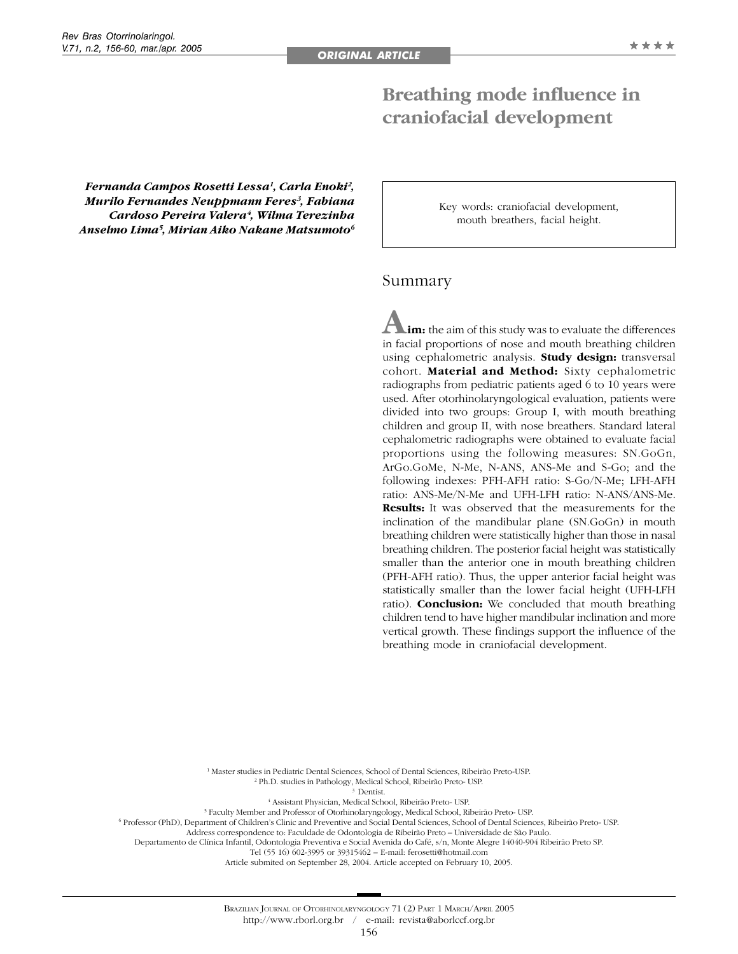# **Breathing mode influence in craniofacial development**

*Fernanda Campos Rosetti Lessa1, Carla Enoki2 , Murilo Fernandes Neuppmann Feres3 , Fabiana Cardoso Pereira Valera4 , Wilma Terezinha Anselmo Lima5 , Mirian Aiko Nakane Matsumoto6*

Key words: craniofacial development, mouth breathers, facial height.

## Summary

**Aim:** the aim of this study was to evaluate the differences in facial proportions of nose and mouth breathing children using cephalometric analysis. **Study design:** transversal cohort. **Material and Method:** Sixty cephalometric radiographs from pediatric patients aged 6 to 10 years were used. After otorhinolaryngological evaluation, patients were divided into two groups: Group I, with mouth breathing children and group II, with nose breathers. Standard lateral cephalometric radiographs were obtained to evaluate facial proportions using the following measures: SN.GoGn, ArGo.GoMe, N-Me, N-ANS, ANS-Me and S-Go; and the following indexes: PFH-AFH ratio: S-Go/N-Me; LFH-AFH ratio: ANS-Me/N-Me and UFH-LFH ratio: N-ANS/ANS-Me. **Results:** It was observed that the measurements for the inclination of the mandibular plane (SN.GoGn) in mouth breathing children were statistically higher than those in nasal breathing children. The posterior facial height was statistically smaller than the anterior one in mouth breathing children (PFH-AFH ratio). Thus, the upper anterior facial height was statistically smaller than the lower facial height (UFH-LFH ratio). **Conclusion:** We concluded that mouth breathing children tend to have higher mandibular inclination and more vertical growth. These findings support the influence of the breathing mode in craniofacial development.

 Master studies in Pediatric Dental Sciences, School of Dental Sciences, Ribeirão Preto-USP. Ph.D. studies in Pathology, Medical School, Ribeirão Preto- USP. Dentist. Assistant Physician, Medical School, Ribeirão Preto- USP. Faculty Member and Professor of Otorhinolaryngology, Medical School, Ribeirão Preto- USP.

6 Professor (PhD), Department of Children's Clinic and Preventive and Social Dental Sciences, School of Dental Sciences, Ribeirão Preto- USP.

Address correspondence to: Faculdade de Odontologia de Ribeirão Preto – Universidade de São Paulo. Departamento de Clínica Infantil, Odontologia Preventiva e Social Avenida do Café, s/n, Monte Alegre 14040-904 Ribeirão Preto SP.

Tel (55 16) 602-3995 or 39315462 – E-mail: ferosetti@hotmail.com

Article submited on September 28, 2004. Article accepted on February 10, 2005.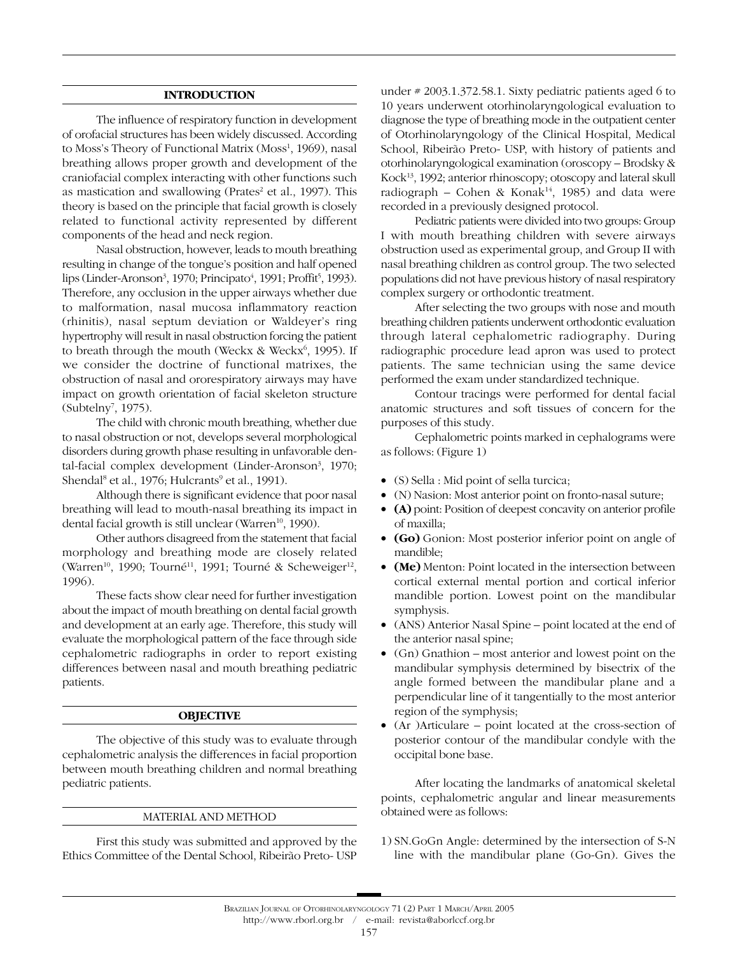#### **INTRODUCTION**

The influence of respiratory function in development of orofacial structures has been widely discussed. According to Moss's Theory of Functional Matrix (Moss<sup>1</sup>, 1969), nasal breathing allows proper growth and development of the craniofacial complex interacting with other functions such as mastication and swallowing (Prates<sup>2</sup> et al., 1997). This theory is based on the principle that facial growth is closely related to functional activity represented by different components of the head and neck region.

Nasal obstruction, however, leads to mouth breathing resulting in change of the tongue's position and half opened lips (Linder-Aronson<sup>3</sup>, 1970; Principato<sup>4</sup>, 1991; Proffit<sup>5</sup>, 1993). Therefore, any occlusion in the upper airways whether due to malformation, nasal mucosa inflammatory reaction (rhinitis), nasal septum deviation or Waldeyer's ring hypertrophy will result in nasal obstruction forcing the patient to breath through the mouth (Weckx & Weckx<sup>6</sup>, 1995). If we consider the doctrine of functional matrixes, the obstruction of nasal and ororespiratory airways may have impact on growth orientation of facial skeleton structure (Subtelny<sup>7</sup>, 1975).

The child with chronic mouth breathing, whether due to nasal obstruction or not, develops several morphological disorders during growth phase resulting in unfavorable dental-facial complex development (Linder-Aronson<sup>3</sup>, 1970; Shendal<sup>8</sup> et al., 1976; Hulcrants<sup>9</sup> et al., 1991).

Although there is significant evidence that poor nasal breathing will lead to mouth-nasal breathing its impact in dental facial growth is still unclear (Warren<sup>10</sup>, 1990).

Other authors disagreed from the statement that facial morphology and breathing mode are closely related (Warren<sup>10</sup>, 1990; Tourné<sup>11</sup>, 1991; Tourné & Scheweiger<sup>12</sup>, 1996).

These facts show clear need for further investigation about the impact of mouth breathing on dental facial growth and development at an early age. Therefore, this study will evaluate the morphological pattern of the face through side cephalometric radiographs in order to report existing differences between nasal and mouth breathing pediatric patients.

#### **OBJECTIVE**

The objective of this study was to evaluate through cephalometric analysis the differences in facial proportion between mouth breathing children and normal breathing pediatric patients.

#### MATERIAL AND METHOD

First this study was submitted and approved by the Ethics Committee of the Dental School, Ribeirão Preto- USP under # 2003.1.372.58.1. Sixty pediatric patients aged 6 to 10 years underwent otorhinolaryngological evaluation to diagnose the type of breathing mode in the outpatient center of Otorhinolaryngology of the Clinical Hospital, Medical School, Ribeirão Preto- USP, with history of patients and otorhinolaryngological examination (oroscopy – Brodsky & Kock13, 1992; anterior rhinoscopy; otoscopy and lateral skull radiograph – Cohen & Konak<sup>14</sup>, 1985) and data were recorded in a previously designed protocol.

Pediatric patients were divided into two groups: Group I with mouth breathing children with severe airways obstruction used as experimental group, and Group II with nasal breathing children as control group. The two selected populations did not have previous history of nasal respiratory complex surgery or orthodontic treatment.

After selecting the two groups with nose and mouth breathing children patients underwent orthodontic evaluation through lateral cephalometric radiography. During radiographic procedure lead apron was used to protect patients. The same technician using the same device performed the exam under standardized technique.

Contour tracings were performed for dental facial anatomic structures and soft tissues of concern for the purposes of this study.

Cephalometric points marked in cephalograms were as follows: (Figure 1)

- (S) Sella : Mid point of sella turcica;
- (N) Nasion: Most anterior point on fronto-nasal suture;
- **(A)** point: Position of deepest concavity on anterior profile of maxilla;
- **(Go)** Gonion: Most posterior inferior point on angle of mandible;
- **(Me)** Menton: Point located in the intersection between cortical external mental portion and cortical inferior mandible portion. Lowest point on the mandibular symphysis.
- (ANS) Anterior Nasal Spine point located at the end of the anterior nasal spine;
- (Gn) Gnathion most anterior and lowest point on the mandibular symphysis determined by bisectrix of the angle formed between the mandibular plane and a perpendicular line of it tangentially to the most anterior region of the symphysis;
- (Ar )Articulare point located at the cross-section of posterior contour of the mandibular condyle with the occipital bone base.

After locating the landmarks of anatomical skeletal points, cephalometric angular and linear measurements obtained were as follows:

1) SN.GoGn Angle: determined by the intersection of S-N line with the mandibular plane (Go-Gn). Gives the

http://www.rborl.org.br / e-mail: revista@aborlccf.org.br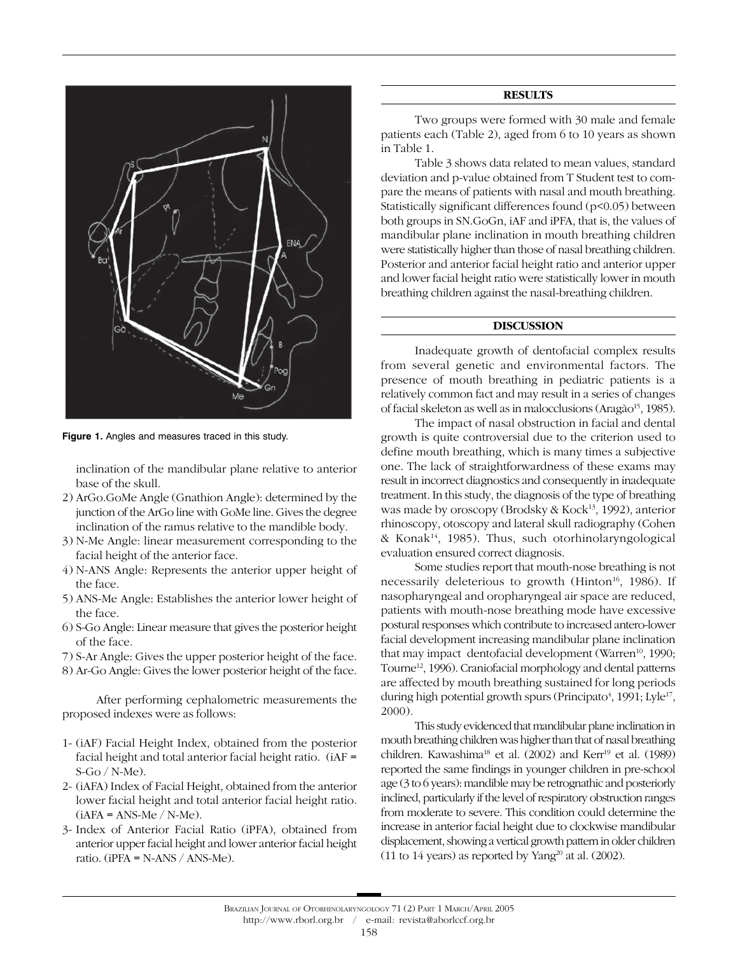

**Figure 1.** Angles and measures traced in this study.

inclination of the mandibular plane relative to anterior base of the skull.

- 2) ArGo.GoMe Angle (Gnathion Angle): determined by the junction of the ArGo line with GoMe line. Gives the degree inclination of the ramus relative to the mandible body.
- 3) N-Me Angle: linear measurement corresponding to the facial height of the anterior face.
- 4) N-ANS Angle: Represents the anterior upper height of the face.
- 5) ANS-Me Angle: Establishes the anterior lower height of the face.
- 6) S-Go Angle: Linear measure that gives the posterior height of the face.
- 7) S-Ar Angle: Gives the upper posterior height of the face.
- 8) Ar-Go Angle: Gives the lower posterior height of the face.

After performing cephalometric measurements the proposed indexes were as follows:

- 1- (iAF) Facial Height Index, obtained from the posterior facial height and total anterior facial height ratio. (iAF = S-Go / N-Me).
- 2- (iAFA) Index of Facial Height, obtained from the anterior lower facial height and total anterior facial height ratio.  $(iAFA = ANS-Me / N-Me).$
- 3- Index of Anterior Facial Ratio (iPFA), obtained from anterior upper facial height and lower anterior facial height ratio. ( $iPFA = N-ANS / ANS-Me$ ).

#### **RESULTS**

Two groups were formed with 30 male and female patients each (Table 2), aged from 6 to 10 years as shown in Table 1.

Table 3 shows data related to mean values, standard deviation and p-value obtained from T Student test to compare the means of patients with nasal and mouth breathing. Statistically significant differences found (p<0.05) between both groups in SN.GoGn, iAF and iPFA, that is, the values of mandibular plane inclination in mouth breathing children were statistically higher than those of nasal breathing children. Posterior and anterior facial height ratio and anterior upper and lower facial height ratio were statistically lower in mouth breathing children against the nasal-breathing children.

### **DISCUSSION**

Inadequate growth of dentofacial complex results from several genetic and environmental factors. The presence of mouth breathing in pediatric patients is a relatively common fact and may result in a series of changes of facial skeleton as well as in malocclusions (Aragão<sup>15</sup>, 1985).

The impact of nasal obstruction in facial and dental growth is quite controversial due to the criterion used to define mouth breathing, which is many times a subjective one. The lack of straightforwardness of these exams may result in incorrect diagnostics and consequently in inadequate treatment. In this study, the diagnosis of the type of breathing was made by oroscopy (Brodsky & Kock<sup>13</sup>, 1992), anterior rhinoscopy, otoscopy and lateral skull radiography (Cohen & Konak14, 1985). Thus, such otorhinolaryngological evaluation ensured correct diagnosis.

Some studies report that mouth-nose breathing is not necessarily deleterious to growth (Hinton<sup>16</sup>, 1986). If nasopharyngeal and oropharyngeal air space are reduced, patients with mouth-nose breathing mode have excessive postural responses which contribute to increased antero-lower facial development increasing mandibular plane inclination that may impact dentofacial development (Warren<sup>10</sup>, 1990; Tourne<sup>12</sup>, 1996). Craniofacial morphology and dental patterns are affected by mouth breathing sustained for long periods during high potential growth spurs (Principato<sup>4</sup>, 1991; Lyle<sup>17</sup>, 2000).

This study evidenced that mandibular plane inclination in mouth breathing children was higher than that of nasal breathing children. Kawashima<sup>18</sup> et al. (2002) and Kerr<sup>19</sup> et al. (1989) reported the same findings in younger children in pre-school age (3 to 6 years): mandible may be retrognathic and posteriorly inclined, particularly if the level of respiratory obstruction ranges from moderate to severe. This condition could determine the increase in anterior facial height due to clockwise mandibular displacement, showing a vertical growth pattern in older children (11 to 14 years) as reported by Yang<sup>20</sup> at al. (2002).

http://www.rborl.org.br / e-mail: revista@aborlccf.org.br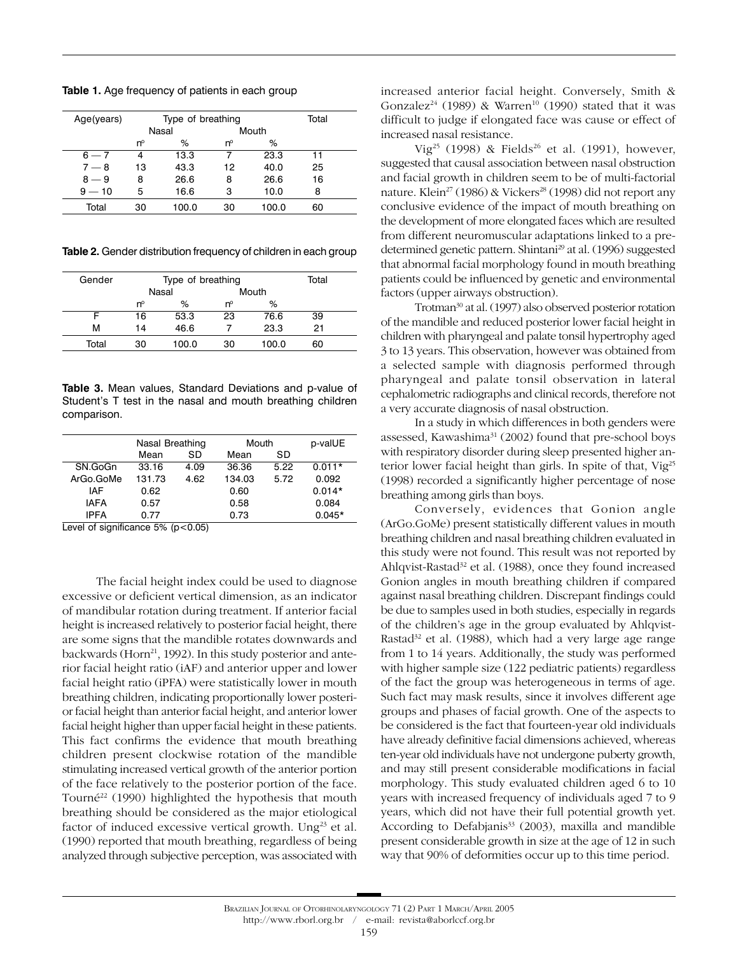**Table 1.** Age frequency of patients in each group

| Age(years) | Type of breathing |       |       |       | Total |  |
|------------|-------------------|-------|-------|-------|-------|--|
|            | Nasal             |       | Mouth |       |       |  |
|            | 'n                | %     | nº    | ℅     |       |  |
| $6 - 7$    | 4                 | 13.3  |       | 23.3  | 11    |  |
| $7 - 8$    | 13                | 43.3  | 12    | 40.0  | 25    |  |
| $8 - 9$    | 8                 | 26.6  | 8     | 26.6  | 16    |  |
| $9 - 10$   | 5                 | 16.6  | 3     | 10.0  | 8     |  |
| Total      | 30                | 100.0 | 30    | 100.0 | 60    |  |

**Table 2.** Gender distribution frequency of children in each group

| Gender |             | Type of breathing |       |       |    |  |
|--------|-------------|-------------------|-------|-------|----|--|
|        | Nasal       |                   | Mouth |       |    |  |
|        | $n^{\circ}$ | %                 | 'n°   | %     |    |  |
|        | 16          | 53.3              | 23    | 76.6  | 39 |  |
| м      | 14          | 46.6              |       | 23.3  | 21 |  |
| Total  | 30          | 100.0             | 30    | 100.0 | 60 |  |
|        |             |                   |       |       |    |  |

**Table 3.** Mean values, Standard Deviations and p-value of Student's T test in the nasal and mouth breathing children comparison.

|               | Nasal Breathing |         | Mouth  |      | p-valUE  |  |
|---------------|-----------------|---------|--------|------|----------|--|
|               | Mean            | SD      | Mean   | SD   |          |  |
| SN.GoGn       | 33.16           | 4.09    | 36.36  | 5.22 | $0.011*$ |  |
| ArGo.GoMe     | 131.73          | 4.62    | 134.03 | 5.72 | 0.092    |  |
| IAF           | 0.62            |         | 0.60   |      | $0.014*$ |  |
| <b>IAFA</b>   | 0.57            |         | 0.58   |      | 0.084    |  |
| <b>IPFA</b>   | 0.77            |         | 0.73   |      | $0.045*$ |  |
| . .<br>.<br>. | _ _ _ _         | - - - - |        |      |          |  |

Level of significance  $5\%$  ( $p < 0.05$ )

The facial height index could be used to diagnose excessive or deficient vertical dimension, as an indicator of mandibular rotation during treatment. If anterior facial height is increased relatively to posterior facial height, there are some signs that the mandible rotates downwards and backwards (Horn<sup>21</sup>, 1992). In this study posterior and anterior facial height ratio (iAF) and anterior upper and lower facial height ratio (iPFA) were statistically lower in mouth breathing children, indicating proportionally lower posterior facial height than anterior facial height, and anterior lower facial height higher than upper facial height in these patients. This fact confirms the evidence that mouth breathing children present clockwise rotation of the mandible stimulating increased vertical growth of the anterior portion of the face relatively to the posterior portion of the face. Tourné<sup>22</sup> (1990) highlighted the hypothesis that mouth breathing should be considered as the major etiological factor of induced excessive vertical growth. Ung<sup>23</sup> et al. (1990) reported that mouth breathing, regardless of being analyzed through subjective perception, was associated with

Vig<sup>25</sup> (1998) & Fields<sup>26</sup> et al. (1991), however, suggested that causal association between nasal obstruction and facial growth in children seem to be of multi-factorial nature. Klein<sup>27</sup> (1986) & Vickers<sup>28</sup> (1998) did not report any conclusive evidence of the impact of mouth breathing on the development of more elongated faces which are resulted from different neuromuscular adaptations linked to a predetermined genetic pattern. Shintani<sup>29</sup> at al. (1996) suggested that abnormal facial morphology found in mouth breathing patients could be influenced by genetic and environmental factors (upper airways obstruction).

Trotman<sup>30</sup> at al. (1997) also observed posterior rotation of the mandible and reduced posterior lower facial height in children with pharyngeal and palate tonsil hypertrophy aged 3 to 13 years. This observation, however was obtained from a selected sample with diagnosis performed through pharyngeal and palate tonsil observation in lateral cephalometric radiographs and clinical records, therefore not a very accurate diagnosis of nasal obstruction.

In a study in which differences in both genders were assessed, Kawashima<sup>31</sup> (2002) found that pre-school boys with respiratory disorder during sleep presented higher anterior lower facial height than girls. In spite of that, Vig<sup>25</sup> (1998) recorded a significantly higher percentage of nose breathing among girls than boys.

Conversely, evidences that Gonion angle (ArGo.GoMe) present statistically different values in mouth breathing children and nasal breathing children evaluated in this study were not found. This result was not reported by Ahlqvist-Rastad<sup>32</sup> et al. (1988), once they found increased Gonion angles in mouth breathing children if compared against nasal breathing children. Discrepant findings could be due to samples used in both studies, especially in regards of the children's age in the group evaluated by Ahlqvist-Rastad<sup>32</sup> et al. (1988), which had a very large age range from 1 to 14 years. Additionally, the study was performed with higher sample size (122 pediatric patients) regardless of the fact the group was heterogeneous in terms of age. Such fact may mask results, since it involves different age groups and phases of facial growth. One of the aspects to be considered is the fact that fourteen-year old individuals have already definitive facial dimensions achieved, whereas ten-year old individuals have not undergone puberty growth, and may still present considerable modifications in facial morphology. This study evaluated children aged 6 to 10 years with increased frequency of individuals aged 7 to 9 years, which did not have their full potential growth yet. According to Defabjanis<sup>33</sup> (2003), maxilla and mandible present considerable growth in size at the age of 12 in such way that 90% of deformities occur up to this time period.